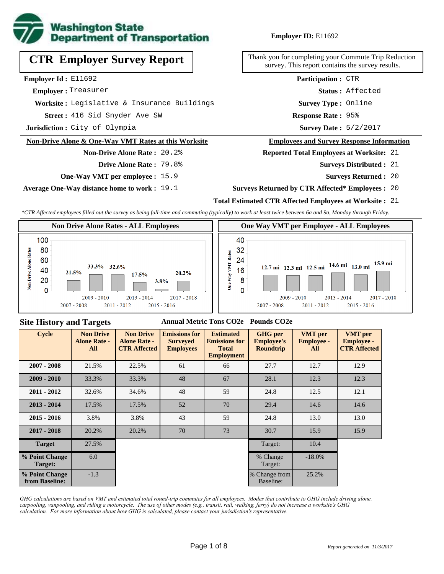

# **CTR Employer Survey Report**

**Employer Id :** E11692

 **Employer :** Treasurer

**Worksite :** Legislative & Insurance Buildings

416 Sid Snyder Ave SW **Response Rate : Street :**

**Jurisdiction :** City of Olympia

#### **Non-Drive Alone & One-Way VMT Rates at this Worksite**

## **Non-Drive Alone Rate :** 20.2% **Drive Alone Rate :** 79.8%

**One-Way VMT per employee :** 15.9

**Average One-Way distance home to work :** 19.1

### **Employer ID:** E11692

Thank you for completing your Commute Trip Reduction survey. This report contains the survey results.

> **Status :** Affected **Participation :** CTR

**Survey Type :** Online

Response Rate: 95%

Survey Date: 5/2/2017

#### **Employees and Survey Response Information**

**Reported Total Employees at Worksite:** 21

- 21 **Surveys Distributed :**
	- **Surveys Returned :** 20

#### **Surveys Returned by CTR Affected\* Employees :** 20

#### **Total Estimated CTR Affected Employees at Worksite :** 21

*\*CTR Affected employees filled out the survey as being full-time and commuting (typically) to work at least twice between 6a and 9a, Monday through Friday.*



### **Site History and Targets**

#### **Annual Metric Tons CO2e Pounds CO2e**

| <b>Cycle</b>                     | <b>Non Drive</b><br><b>Alone Rate -</b><br>All | <b>Non Drive</b><br><b>Alone Rate -</b><br><b>CTR Affected</b> | <b>Emissions for</b><br><b>Surveyed</b><br><b>Employees</b> | <b>Estimated</b><br><b>Emissions for</b><br><b>Total</b><br><b>Employment</b> | <b>GHG</b> per<br><b>Employee's</b><br><b>Roundtrip</b> | <b>VMT</b> per<br><b>Employee -</b><br>All | <b>VMT</b> per<br><b>Employee -</b><br><b>CTR Affected</b> |
|----------------------------------|------------------------------------------------|----------------------------------------------------------------|-------------------------------------------------------------|-------------------------------------------------------------------------------|---------------------------------------------------------|--------------------------------------------|------------------------------------------------------------|
| $2007 - 2008$                    | 21.5%                                          | 22.5%                                                          | 61                                                          |                                                                               | 27.7                                                    | 12.7                                       | 12.9                                                       |
| $2009 - 2010$                    | 33.3%                                          | 33.3%                                                          | 48                                                          | 67                                                                            | 28.1                                                    | 12.3                                       | 12.3                                                       |
| $2011 - 2012$                    | 32.6%                                          | 34.6%                                                          | 48                                                          | 59                                                                            | 24.8                                                    | 12.5                                       | 12.1                                                       |
| $2013 - 2014$                    | 17.5%                                          | 17.5%                                                          | 52                                                          | 70                                                                            | 29.4                                                    | 14.6                                       | 14.6                                                       |
| $2015 - 2016$                    | 3.8%                                           | 3.8%                                                           | 43                                                          | 59                                                                            | 24.8                                                    | 13.0                                       | 13.0                                                       |
| $2017 - 2018$                    | 20.2%                                          | 20.2%                                                          | 70                                                          | 73                                                                            | 30.7                                                    | 15.9                                       | 15.9                                                       |
| <b>Target</b>                    | 27.5%                                          |                                                                |                                                             |                                                                               | Target:                                                 | 10.4                                       |                                                            |
| % Point Change<br>Target:        | 6.0                                            |                                                                |                                                             |                                                                               | % Change<br>Target:                                     | $-18.0\%$                                  |                                                            |
| % Point Change<br>from Baseline: | $-1.3$                                         |                                                                |                                                             |                                                                               | % Change from<br>Baseline:                              | 25.2%                                      |                                                            |

*GHG calculations are based on VMT and estimated total round-trip commutes for all employees. Modes that contribute to GHG include driving alone, carpooling, vanpooling, and riding a motorcycle. The use of other modes (e.g., transit, rail, walking, ferry) do not increase a worksite's GHG calculation. For more information about how GHG is calculated, please contact your jurisdiction's representative.*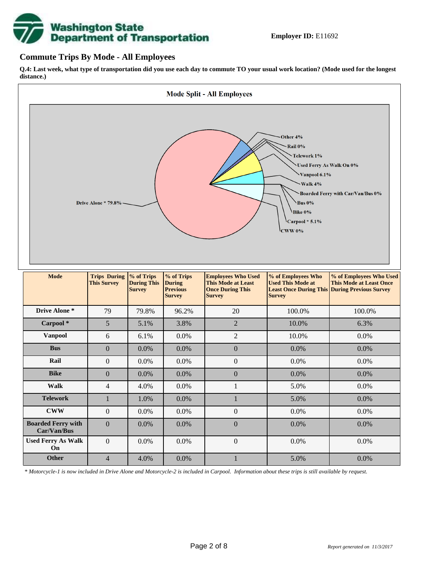

### **Commute Trips By Mode - All Employees**

**Q.4: Last week, what type of transportation did you use each day to commute TO your usual work location? (Mode used for the longest distance.)**



*\* Motorcycle-1 is now included in Drive Alone and Motorcycle-2 is included in Carpool. Information about these trips is still available by request.*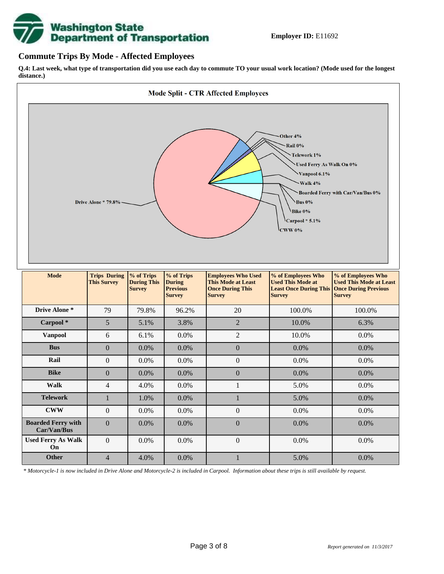

### **Commute Trips By Mode - Affected Employees**

**Q.4: Last week, what type of transportation did you use each day to commute TO your usual work location? (Mode used for the longest distance.)**



*\* Motorcycle-1 is now included in Drive Alone and Motorcycle-2 is included in Carpool. Information about these trips is still available by request.*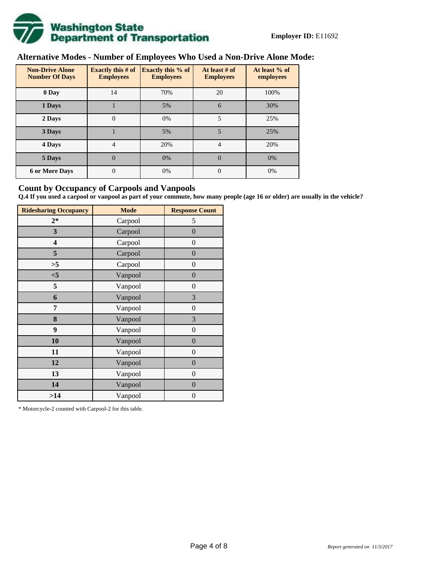

## **Alternative Modes - Number of Employees Who Used a Non-Drive Alone Mode:**

| <b>Non-Drive Alone</b><br><b>Number Of Days</b> | <b>Exactly this # of</b><br><b>Employees</b> | <b>Exactly this % of</b><br><b>Employees</b> | At least # of<br><b>Employees</b> | At least % of<br>employees |  |  |
|-------------------------------------------------|----------------------------------------------|----------------------------------------------|-----------------------------------|----------------------------|--|--|
| 0 Day                                           | 14                                           | 70%                                          | 20                                | 100%                       |  |  |
| 1 Days                                          |                                              | 5%                                           | 6                                 | 30%                        |  |  |
| 2 Days                                          | $\overline{0}$                               | 0%                                           | 5                                 | 25%                        |  |  |
| 3 Days                                          |                                              | 5%                                           | 5                                 | 25%                        |  |  |
| 4 Days                                          | 4                                            | 20%                                          | $\overline{4}$                    | 20%                        |  |  |
| 5 Days                                          | 0                                            | 0%                                           | $\theta$                          | 0%                         |  |  |
| <b>6 or More Days</b>                           | 0                                            | 0%                                           | $\Omega$                          | 0%                         |  |  |

## **Count by Occupancy of Carpools and Vanpools**

**Q.4 If you used a carpool or vanpool as part of your commute, how many people (age 16 or older) are usually in the vehicle?**

| <b>Ridesharing Occupancy</b> | <b>Mode</b> | <b>Response Count</b> |
|------------------------------|-------------|-----------------------|
| $2*$                         | Carpool     | 5                     |
| 3                            | Carpool     | $\boldsymbol{0}$      |
| 4                            | Carpool     | $\boldsymbol{0}$      |
| 5                            | Carpool     | $\boldsymbol{0}$      |
| >5                           | Carpool     | $\overline{0}$        |
| $<$ 5                        | Vanpool     | $\overline{0}$        |
| 5                            | Vanpool     | $\overline{0}$        |
| 6                            | Vanpool     | 3                     |
| 7                            | Vanpool     | $\boldsymbol{0}$      |
| 8                            | Vanpool     | 3                     |
| 9                            | Vanpool     | $\boldsymbol{0}$      |
| 10                           | Vanpool     | $\overline{0}$        |
| 11                           | Vanpool     | $\overline{0}$        |
| 12                           | Vanpool     | $\boldsymbol{0}$      |
| 13                           | Vanpool     | $\boldsymbol{0}$      |
| 14                           | Vanpool     | $\overline{0}$        |
| >14                          | Vanpool     | $\boldsymbol{0}$      |

\* Motorcycle-2 counted with Carpool-2 for this table.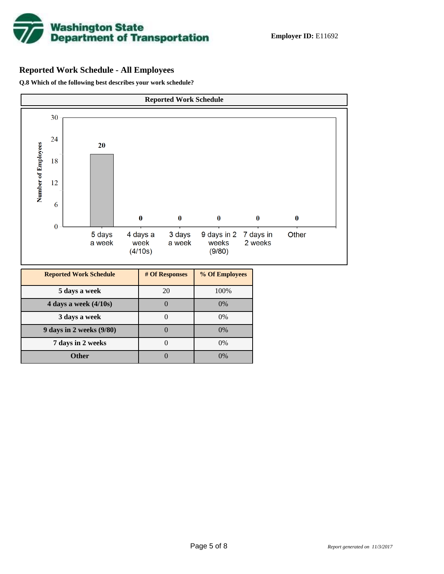

## **Reported Work Schedule - All Employees**

**Q.8 Which of the following best describes your work schedule?**

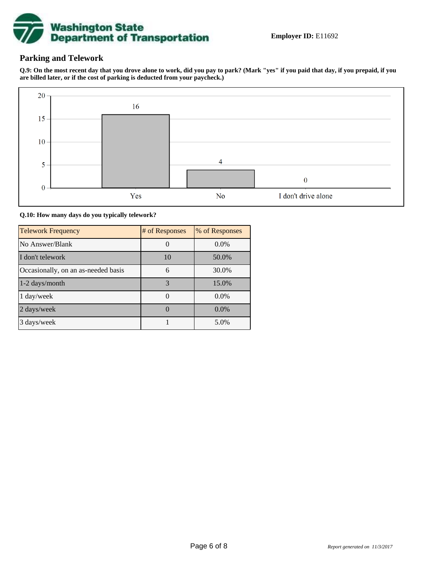

## **Parking and Telework**

**Q.9: On the most recent day that you drove alone to work, did you pay to park? (Mark "yes" if you paid that day, if you prepaid, if you are billed later, or if the cost of parking is deducted from your paycheck.)**



**Q.10: How many days do you typically telework?**

| <b>Telework Frequency</b>           | # of Responses | % of Responses |
|-------------------------------------|----------------|----------------|
| No Answer/Blank                     |                | $0.0\%$        |
| I don't telework                    | 10             | 50.0%          |
| Occasionally, on an as-needed basis | 6              | 30.0%          |
| 1-2 days/month                      | 3              | 15.0%          |
| 1 day/week                          |                | 0.0%           |
| 2 days/week                         |                | $0.0\%$        |
| 3 days/week                         |                | 5.0%           |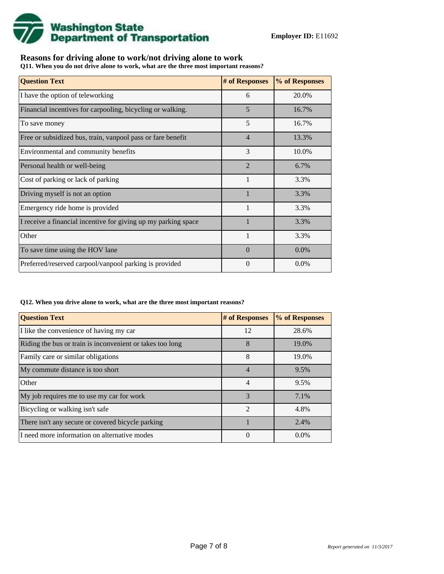

## **Reasons for driving alone to work/not driving alone to work**

**Q11. When you do not drive alone to work, what are the three most important reasons?**

| <b>Question Text</b>                                           | # of Responses | % of Responses |
|----------------------------------------------------------------|----------------|----------------|
| I have the option of teleworking                               | 6              | 20.0%          |
| Financial incentives for carpooling, bicycling or walking.     | 5              | 16.7%          |
| To save money                                                  | 5              | 16.7%          |
| Free or subsidized bus, train, vanpool pass or fare benefit    | $\overline{4}$ | 13.3%          |
| Environmental and community benefits                           | 3              | 10.0%          |
| Personal health or well-being                                  | $\overline{2}$ | 6.7%           |
| Cost of parking or lack of parking                             | 1              | 3.3%           |
| Driving myself is not an option                                |                | 3.3%           |
| Emergency ride home is provided                                | $\mathbf{1}$   | 3.3%           |
| I receive a financial incentive for giving up my parking space |                | 3.3%           |
| Other                                                          |                | 3.3%           |
| To save time using the HOV lane                                | $\Omega$       | 0.0%           |
| Preferred/reserved carpool/vanpool parking is provided         | 0              | $0.0\%$        |

#### **Q12. When you drive alone to work, what are the three most important reasons?**

| <b>Question Text</b>                                      | # of Responses | % of Responses |
|-----------------------------------------------------------|----------------|----------------|
| I like the convenience of having my car                   | 12             | 28.6%          |
| Riding the bus or train is inconvenient or takes too long | 8              | 19.0%          |
| Family care or similar obligations                        | 8              | 19.0%          |
| My commute distance is too short                          | $\overline{4}$ | 9.5%           |
| Other                                                     | 4              | 9.5%           |
| My job requires me to use my car for work                 | 3              | 7.1%           |
| Bicycling or walking isn't safe                           | $\mathfrak{D}$ | 4.8%           |
| There isn't any secure or covered bicycle parking         |                | 2.4%           |
| I need more information on alternative modes              | $\theta$       | $0.0\%$        |